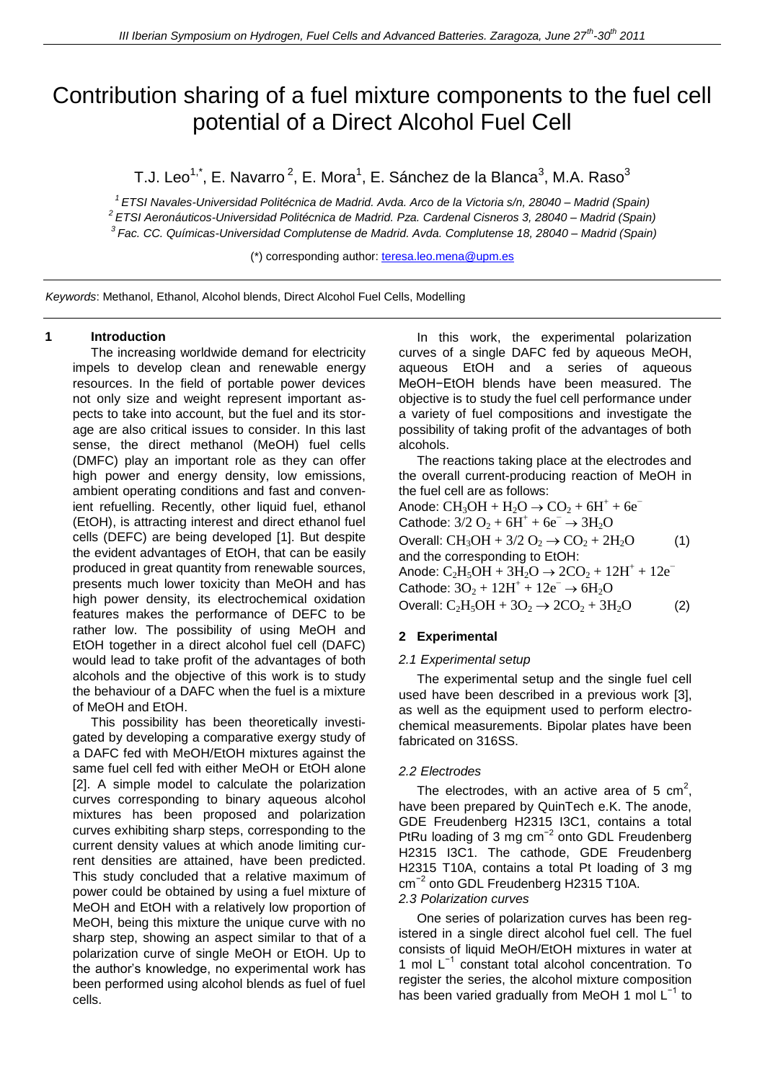# Contribution sharing of a fuel mixture components to the fuel cell potential of a Direct Alcohol Fuel Cell

T.J. Leo<sup>1,\*</sup>, E. Navarro <sup>2</sup>, E. Mora<sup>1</sup>, E. Sánchez de la Blanca<sup>3</sup>, M.A. Raso<sup>3</sup>

*1 ETSI Navales-Universidad Politécnica de Madrid. Avda. Arco de la Victoria s/n, 28040 – Madrid (Spain) <sup>2</sup>ETSI Aeronáuticos-Universidad Politécnica de Madrid. Pza. Cardenal Cisneros 3, 28040 – Madrid (Spain) 3 Fac. CC. Químicas-Universidad Complutense de Madrid. Avda. Complutense 18, 28040 – Madrid (Spain)*

(\*) corresponding author: [teresa.leo.mena@upm.es](mailto:teresa.leo.mena@upm.es)

*Keywords*: Methanol, Ethanol, Alcohol blends, Direct Alcohol Fuel Cells, Modelling

## **1 Introduction**

The increasing worldwide demand for electricity impels to develop clean and renewable energy resources. In the field of portable power devices not only size and weight represent important aspects to take into account, but the fuel and its storage are also critical issues to consider. In this last sense, the direct methanol (MeOH) fuel cells (DMFC) play an important role as they can offer high power and energy density, low emissions, ambient operating conditions and fast and convenient refuelling. Recently, other liquid fuel, ethanol (EtOH), is attracting interest and direct ethanol fuel cells (DEFC) are being developed [1]. But despite the evident advantages of EtOH, that can be easily produced in great quantity from renewable sources, presents much lower toxicity than MeOH and has high power density, its electrochemical oxidation features makes the performance of DEFC to be rather low. The possibility of using MeOH and EtOH together in a direct alcohol fuel cell (DAFC) would lead to take profit of the advantages of both alcohols and the objective of this work is to study the behaviour of a DAFC when the fuel is a mixture of MeOH and EtOH.

This possibility has been theoretically investigated by developing a comparative exergy study of a DAFC fed with MeOH/EtOH mixtures against the same fuel cell fed with either MeOH or EtOH alone [2]. A simple model to calculate the polarization curves corresponding to binary aqueous alcohol mixtures has been proposed and polarization curves exhibiting sharp steps, corresponding to the current density values at which anode limiting current densities are attained, have been predicted. This study concluded that a relative maximum of power could be obtained by using a fuel mixture of MeOH and EtOH with a relatively low proportion of MeOH, being this mixture the unique curve with no sharp step, showing an aspect similar to that of a polarization curve of single MeOH or EtOH. Up to the author's knowledge, no experimental work has been performed using alcohol blends as fuel of fuel cells.

In this work, the experimental polarization curves of a single DAFC fed by aqueous MeOH, aqueous EtOH and a series of aqueous MeOH−EtOH blends have been measured. The objective is to study the fuel cell performance under a variety of fuel compositions and investigate the possibility of taking profit of the advantages of both alcohols.

The reactions taking place at the electrodes and the overall current-producing reaction of MeOH in the fuel cell are as follows:

Anode:  $CH_3OH + H_2O \rightarrow CO_2 + 6H^+ + 6e^-$ Cathode:  $3/2$  O<sub>2</sub> +  $6H^+$  +  $6e^ \rightarrow$   $3H_2O$ Overall:  $CH_3OH + 3/2 O_2 \rightarrow CO_2 + 2H_2O$  (1) and the corresponding to EtOH: Anode:  $C_2H_5OH + 3H_2O \rightarrow 2CO_2 + 12H^+ + 12e^-$ Cathode:  $3O_2 + 12H^+ + 12e^- \rightarrow 6H_2O$ Overall:  $C_2H_5OH + 3O_2 \rightarrow 2CO_2 + 3H_2O$  (2)

## **2 Experimental**

#### *2.1 Experimental setup*

The experimental setup and the single fuel cell used have been described in a previous work [3], as well as the equipment used to perform electrochemical measurements. Bipolar plates have been fabricated on 316SS.

#### *2.2 Electrodes*

The electrodes, with an active area of 5  $cm<sup>2</sup>$ , have been prepared by QuinTech e.K. The anode, GDE Freudenberg H2315 I3C1, contains a total PtRu loading of 3 mg cm<sup>-2</sup> onto GDL Freudenberg H2315 I3C1. The cathode, GDE Freudenberg H2315 T10A, contains a total Pt loading of 3 mg cm−2 onto GDL Freudenberg H2315 T10A. *2.3 Polarization curves*

One series of polarization curves has been registered in a single direct alcohol fuel cell. The fuel consists of liquid MeOH/EtOH mixtures in water at 1 mol L−1 constant total alcohol concentration. To register the series, the alcohol mixture composition has been varied gradually from MeOH 1 mol L<sup>-1</sup> to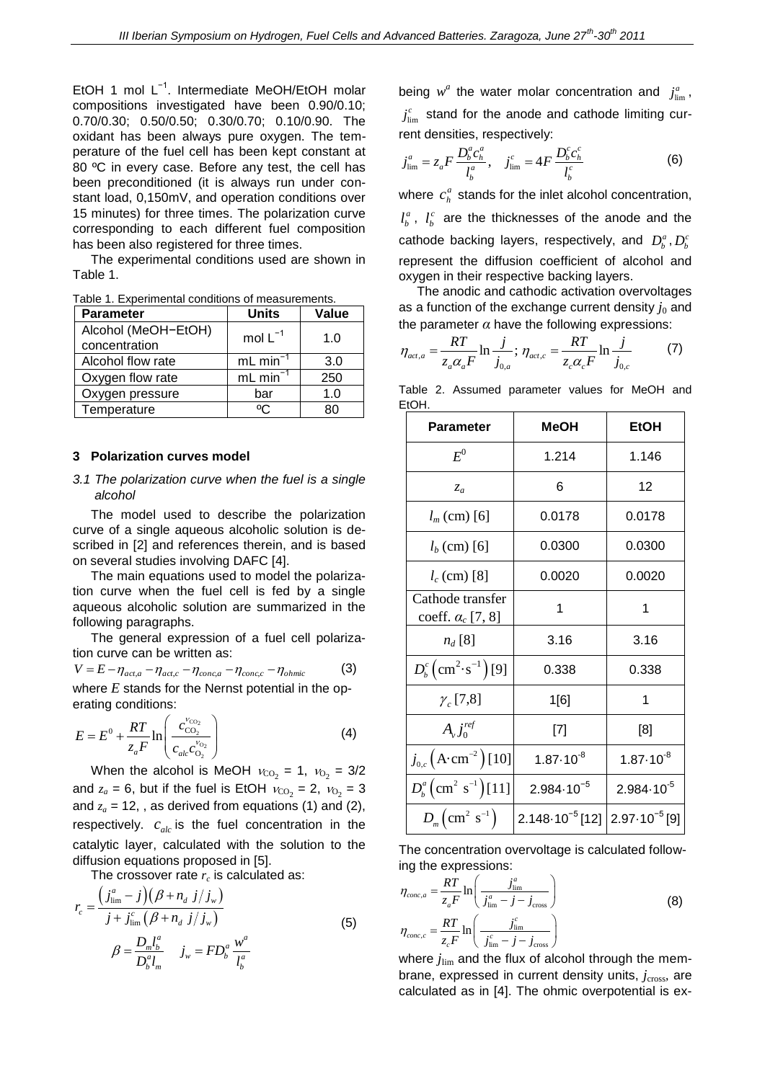EtOH 1 mol L−1. Intermediate MeOH/EtOH molar compositions investigated have been 0.90/0.10; 0.70/0.30; 0.50/0.50; 0.30/0.70; 0.10/0.90. The oxidant has been always pure oxygen. The temperature of the fuel cell has been kept constant at 80 °C in every case. Before any test, the cell has been preconditioned (it is always run under constant load, 0,150mV, and operation conditions over 15 minutes) for three times. The polarization curve corresponding to each different fuel composition has been also registered for three times.

The experimental conditions used are shown in Table 1.

| <b>Parameter</b>                     | <b>Units</b>          | Value |
|--------------------------------------|-----------------------|-------|
| Alcohol (MeOH-EtOH)<br>concentration | mol $L^{-1}$          | 1.0   |
| Alcohol flow rate                    | $mL$ min <sup>-</sup> | 3.0   |
| Oxygen flow rate                     | mL min <sup>-</sup>   | 250   |
| Oxygen pressure                      | bar                   | 1.0   |
| Temperature                          | ٥٢                    | ጸበ    |

Table 1. Experimental conditions of measurements.

#### **3 Polarization curves model**

### *3.1 The polarization curve when the fuel is a single alcohol*

The model used to describe the polarization curve of a single aqueous alcoholic solution is described in [2] and references therein, and is based on several studies involving DAFC [4].

The main equations used to model the polarization curve when the fuel cell is fed by a single aqueous alcoholic solution are summarized in the following paragraphs.

The general expression of a fuel cell polarization curve can be written as:

$$
V = E - \eta_{act,a} - \eta_{act,c} - \eta_{conc,a} - \eta_{conc,c} - \eta_{ohmic}
$$
 (3)

where *E* stands for the Nernst potential in the operating conditions:

$$
E = E^{0} + \frac{RT}{z_{a}F} \ln \left( \frac{c_{\text{CO}_{2}}^{V_{\text{CO}_{2}}}}{c_{\text{alc}}c_{\text{O}_{2}}^{V_{\text{O}_{2}}}} \right)
$$
(4)

When the alcohol is MeOH  $v_{\text{CO}_2}$  = 1,  $v_{\text{O}_2}$  = 3/2 and  $z_a = 6$ , but if the fuel is EtOH  $v_{CO_2} = 2$ ,  $v_{O_2} = 3$ and *z<sup>a</sup>* = 12, , as derived from equations (1) and (2), respectively.  $c_{\text{alc}}$  is the fuel concentration in the catalytic layer, calculated with the solution to the diffusion equations proposed in [5].

The crossover rate 
$$
r_c
$$
 is calculated as:  
\n
$$
r_c = \frac{\left(j_{\text{lim}}^a - j\right)\left(\beta + n_d \ j / j_w\right)}{j + j_{\text{lim}}^c \left(\beta + n_d \ j / j_w\right)}
$$
\n
$$
\beta = \frac{D_m l_b^a}{D_b^a l_m} \quad j_w = F D_b^a \ \frac{w^a}{l_b^a}
$$
\n(5)

being  $w^a$  the water molar concentration and  $j^a_{\text{lim}}$ ,  $j_{\text{lim}}^c$  stand for the anode and cathode limiting cur-

rent densities, respectively:  
\n
$$
j_{\text{lim}}^a = z_a F \frac{D_b^a c_h^a}{l_b^a}, \quad j_{\text{lim}}^c = 4F \frac{D_b^c c_h^c}{l_b^c}
$$
\n(6)

where  $c_h^a$  $c_h^a$  stands for the inlet alcohol concentration,

*a*  $l_b^a$ ,  $l_b^c$  $l_b^c$  are the thicknesses of the anode and the cathode backing layers, respectively, and  $D_b^a$ ,  $D_b^c$ represent the diffusion coefficient of alcohol and oxygen in their respective backing layers.

The anodic and cathodic activation overvoltages as a function of the exchange current density  $j_0$  and

the parameter 
$$
\alpha
$$
 have the following expressions:  
\n
$$
\eta_{act,a} = \frac{RT}{z_a \alpha_a F} \ln \frac{j}{j_{0,a}}; \eta_{act,c} = \frac{RT}{z_c \alpha_c F} \ln \frac{j}{j_{0,c}}
$$
\n(7)

Table 2. Assumed parameter values for MeOH and EtOH.

| <b>Parameter</b>                                | MeOH                                                       | EtOH                  |
|-------------------------------------------------|------------------------------------------------------------|-----------------------|
| $E^0$                                           | 1.214                                                      | 1.146                 |
| $z_a$                                           | 6                                                          | 12                    |
| $l_m$ (cm) [6]                                  | 0.0178                                                     | 0.0178                |
| $l_b$ (cm) [6]                                  | 0.0300                                                     | 0.0300                |
| $l_c$ (cm) [8]                                  | 0.0020                                                     | 0.0020                |
| Cathode transfer<br>coeff. $\alpha_c$ [7, 8]    | 1                                                          | 1                     |
| $n_d$ [8]                                       | 3.16                                                       | 3.16                  |
| $D_b^c$ (cm <sup>2</sup> ·s <sup>-1</sup> )[9]  | 0.338                                                      | 0.338                 |
| $\gamma_c$ [7,8]                                | 1[6]                                                       | 1                     |
| $A_{\nu}j_{0}^{ref}$                            | $[7]$                                                      | [8]                   |
| $j_{0,c}$ $(A \cdot cm^{-2})$ [10]              | $1.87 \cdot 10^{-8}$                                       | $1.87 \cdot 10^{-8}$  |
| $D_b^a$ (cm <sup>2</sup> s <sup>-1</sup> )[11]  | $2.984 \cdot 10^{-5}$                                      | $2.984 \cdot 10^{-5}$ |
| $D_m$ $\left(\text{cm}^2 \text{ s}^{-1}\right)$ | $2.148 \cdot 10^{-5}$ [12] $\left[ 2.97 \cdot 10^{-5}$ [9] |                       |

The concentration overvoltage is calculated follow-

ing the expressions:  
\n
$$
\eta_{conc,a} = \frac{RT}{z_a F} \ln \left( \frac{j_{\text{lim}}^a}{j_{\text{lim}}^a - j - j_{\text{cross}}} \right)
$$
\n
$$
\eta_{conc,c} = \frac{RT}{z_c F} \ln \left( \frac{j_{\text{lim}}^c}{j_{\text{lim}}^c - j - j_{\text{cross}}} \right)
$$
\nwhere *z* is a real, the figure of a local thermal distribution is 0.000.

where  $j_{\text{lim}}$  and the flux of alcohol through the membrane, expressed in current density units, *j<sub>cross</sub>*, are calculated as in [4]. The ohmic overpotential is ex-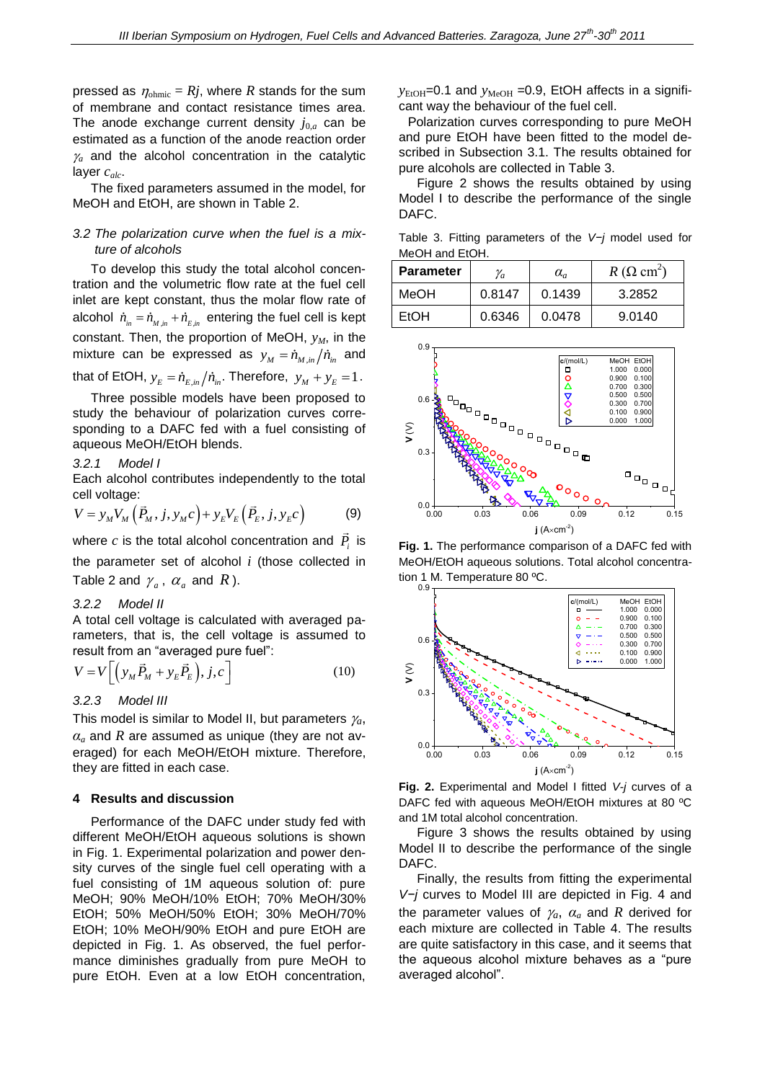pressed as  $\eta_{\text{ohmic}} = Rj$ , where *R* stands for the sum of membrane and contact resistance times area. The anode exchange current density  $j_{0,a}$  can be estimated as a function of the anode reaction order  $\chi$  and the alcohol concentration in the catalytic layer *calc*.

The fixed parameters assumed in the model, for MeOH and EtOH, are shown in Table 2.

## *3.2 The polarization curve when the fuel is a mixture of alcohols*

To develop this study the total alcohol concentration and the volumetric flow rate at the fuel cell inlet are kept constant, thus the molar flow rate of alcohol  $\dot{n}_{m} = \dot{n}_{M, in} + \dot{n}_{E, in}$  entering the fuel cell is kept constant. Then, the proportion of MeOH, *yM*, in the mixture can be expressed as  $y_M = \dot{n}_{M,in} / \dot{n}_{in}$  and

that of EtOH,  $y_E = \dot{n}_{E,in} / \dot{n}_{in}$ . Therefore,  $y_M + y_E = 1$ .

Three possible models have been proposed to study the behaviour of polarization curves corresponding to a DAFC fed with a fuel consisting of aqueous MeOH/EtOH blends.

#### *3.2.1 Model I*

Each alcohol contributes independently to the total cell voltage:

cell voltage:  
\n
$$
V = y_M V_M \left( \vec{P}_M, j, y_M c \right) + y_E V_E \left( \vec{P}_E, j, y_E c \right)
$$
\n(9)

where  $c$  is the total alcohol concentration and  $P_i$  is the parameter set of alcohol *i* (those collected in Table 2 and  $\gamma_a$ ,  $\alpha_a$  and  $R$ ).

#### *3.2.2 Model II*

A total cell voltage is calculated with averaged parameters, that is, the cell voltage is assumed to

result from an "averaged pure fuel":  
\n
$$
V = V \left[ \left( y_M \vec{P}_M + y_E \vec{P}_E \right), j, c \right]
$$
\n(10)

## *3.2.3 Model III*

This model is similar to Model II, but parameters  $\gamma_a$ , *α<sup>a</sup>* and *R* are assumed as unique (they are not averaged) for each MeOH/EtOH mixture. Therefore, they are fitted in each case.

#### **4 Results and discussion**

Performance of the DAFC under study fed with different MeOH/EtOH aqueous solutions is shown in Fig. 1. Experimental polarization and power density curves of the single fuel cell operating with a fuel consisting of 1M aqueous solution of: pure MeOH; 90% MeOH/10% EtOH; 70% MeOH/30% EtOH; 50% MeOH/50% EtOH; 30% MeOH/70% EtOH; 10% MeOH/90% EtOH and pure EtOH are depicted in Fig. 1. As observed, the fuel performance diminishes gradually from pure MeOH to pure EtOH. Even at a low EtOH concentration,  $y_{EtoH}$ =0.1 and  $y_{MeOH}$  =0.9, EtOH affects in a significant way the behaviour of the fuel cell.

Polarization curves corresponding to pure MeOH and pure EtOH have been fitted to the model described in Subsection 3.1. The results obtained for pure alcohols are collected in Table 3.

Figure 2 shows the results obtained by using Model I to describe the performance of the single DAFC.

Table 3. Fitting parameters of the *V−j* model used for MeOH and EtOH.

| <b>Parameter</b> | $V_a$  | $\alpha_a$ | $R(\Omega \text{ cm}^2)$ |
|------------------|--------|------------|--------------------------|
| MeOH             | 0.8147 | 0.1439     | 3.2852                   |
| <b>EtOH</b>      | 0.6346 | 0.0478     | 9.0140                   |



**Fig. 1.** The performance comparison of a DAFC fed with MeOH/EtOH aqueous solutions. Total alcohol concentration 1 M. Temperature 80 ºC.



**Fig. 2.** Experimental and Model I fitted *V-j* curves of a DAFC fed with aqueous MeOH/EtOH mixtures at 80 ºC and 1M total alcohol concentration.

Figure 3 shows the results obtained by using Model II to describe the performance of the single DAFC.

Finally, the results from fitting the experimental *V−j* curves to Model III are depicted in Fig. 4 and the parameter values of  $\gamma_a$ ,  $\alpha_a$  and R derived for each mixture are collected in Table 4. The results are quite satisfactory in this case, and it seems that the aqueous alcohol mixture behaves as a "pure averaged alcohol".